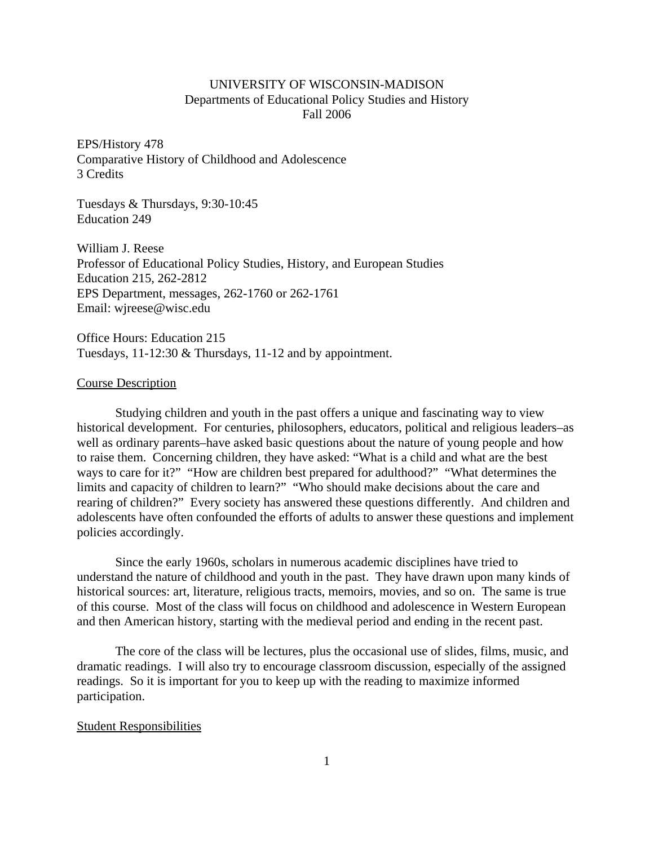# UNIVERSITY OF WISCONSIN-MADISON Departments of Educational Policy Studies and History Fall 2006

EPS/History 478 Comparative History of Childhood and Adolescence 3 Credits

Tuesdays & Thursdays, 9:30-10:45 Education 249

William J. Reese Professor of Educational Policy Studies, History, and European Studies Education 215, 262-2812 EPS Department, messages, 262-1760 or 262-1761 Email: wjreese@wisc.edu

Office Hours: Education 215 Tuesdays, 11-12:30 & Thursdays, 11-12 and by appointment.

## Course Description

Studying children and youth in the past offers a unique and fascinating way to view historical development. For centuries, philosophers, educators, political and religious leaders–as well as ordinary parents–have asked basic questions about the nature of young people and how to raise them. Concerning children, they have asked: "What is a child and what are the best ways to care for it?" "How are children best prepared for adulthood?" "What determines the limits and capacity of children to learn?" "Who should make decisions about the care and rearing of children?" Every society has answered these questions differently. And children and adolescents have often confounded the efforts of adults to answer these questions and implement policies accordingly.

Since the early 1960s, scholars in numerous academic disciplines have tried to understand the nature of childhood and youth in the past. They have drawn upon many kinds of historical sources: art, literature, religious tracts, memoirs, movies, and so on. The same is true of this course. Most of the class will focus on childhood and adolescence in Western European and then American history, starting with the medieval period and ending in the recent past.

The core of the class will be lectures, plus the occasional use of slides, films, music, and dramatic readings. I will also try to encourage classroom discussion, especially of the assigned readings. So it is important for you to keep up with the reading to maximize informed participation.

#### Student Responsibilities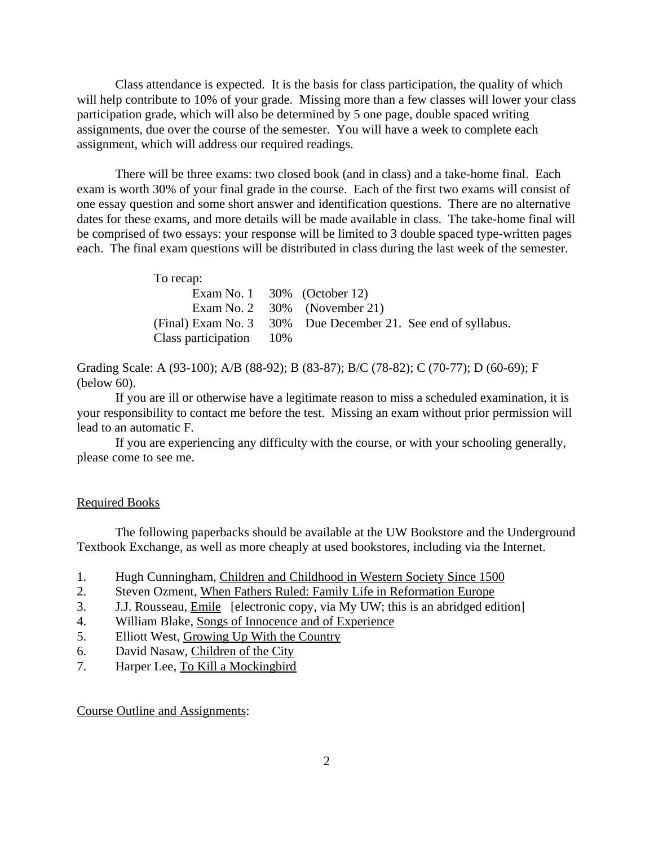Class attendance is expected. It is the basis for class participation, the quality of which will help contribute to 10% of your grade. Missing more than a few classes will lower your class participation grade, which will also be determined by 5 one page, double spaced writing assignments, due over the course of the semester. You will have a week to complete each assignment, which will address our required readings.

There will be three exams: two closed book (and in class) and a take-home final. Each exam is worth 30% of your final grade in the course. Each of the first two exams will consist of one essay question and some short answer and identification questions. There are no alternative dates for these exams, and more details will be made available in class. The take-home final will be comprised of two essays: your response will be limited to 3 double spaced type-written pages each. The final exam questions will be distributed in class during the last week of the semester.

| To recap:           |       |                                                              |
|---------------------|-------|--------------------------------------------------------------|
|                     |       | Exam No. 1 $30\%$ (October 12)                               |
|                     |       | Exam No. 2 $30\%$ (November 21)                              |
|                     |       | (Final) Exam No. 3 30% Due December 21. See end of syllabus. |
| Class participation | - 10% |                                                              |

Grading Scale: A (93-100); A/B (88-92); B (83-87); B/C (78-82); C (70-77); D (60-69); F (below 60).

If you are ill or otherwise have a legitimate reason to miss a scheduled examination, it is your responsibility to contact me before the test. Missing an exam without prior permission will lead to an automatic F.

If you are experiencing any difficulty with the course, or with your schooling generally, please come to see me.

## Required Books

The following paperbacks should be available at the UW Bookstore and the Underground Textbook Exchange, as well as more cheaply at used bookstores, including via the Internet.

- 1. Hugh Cunningham, Children and Childhood in Western Society Since 1500
- 2. Steven Ozment, When Fathers Ruled: Family Life in Reformation Europe
- 3. J.J. Rousseau, Emile [electronic copy, via My UW; this is an abridged edition]
- 4. William Blake, Songs of Innocence and of Experience
- 5. Elliott West, Growing Up With the Country
- 6. David Nasaw*,* Children of the City
- 7. Harper Lee, To Kill a Mockingbird

Course Outline and Assignments: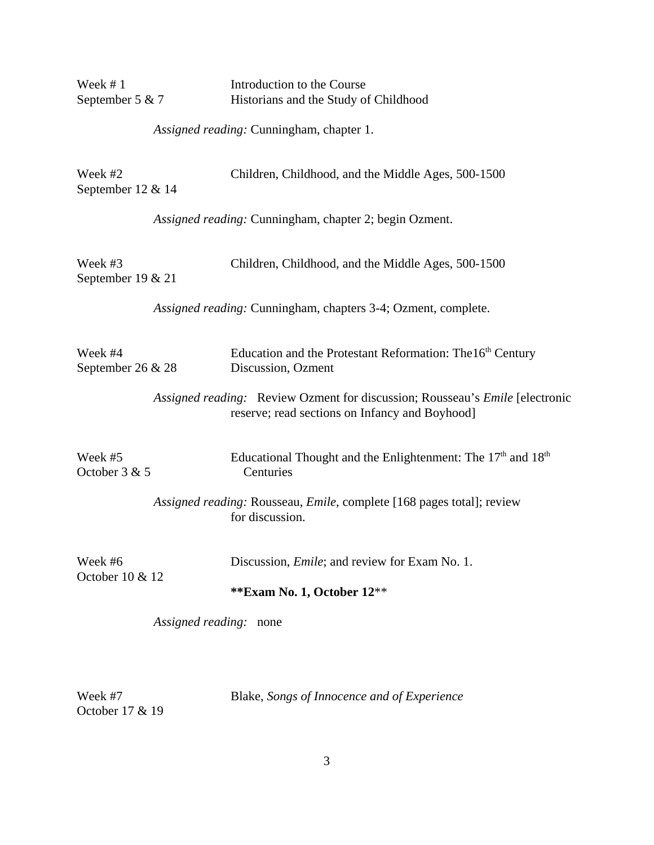| Week #1                      |                        | Introduction to the Course                                                                                                     |
|------------------------------|------------------------|--------------------------------------------------------------------------------------------------------------------------------|
| September 5 & 7              |                        | Historians and the Study of Childhood                                                                                          |
|                              |                        | Assigned reading: Cunningham, chapter 1.                                                                                       |
| Week #2<br>September 12 & 14 |                        | Children, Childhood, and the Middle Ages, 500-1500                                                                             |
|                              |                        | Assigned reading: Cunningham, chapter 2; begin Ozment.                                                                         |
| Week #3<br>September 19 & 21 |                        | Children, Childhood, and the Middle Ages, 500-1500                                                                             |
|                              |                        | Assigned reading: Cunningham, chapters 3-4; Ozment, complete.                                                                  |
| Week #4<br>September 26 & 28 |                        | Education and the Protestant Reformation: The 16 <sup>th</sup> Century<br>Discussion, Ozment                                   |
|                              |                        | Assigned reading: Review Ozment for discussion; Rousseau's Emile [electronic<br>reserve; read sections on Infancy and Boyhood] |
| Week #5<br>October 3 & 5     |                        | Educational Thought and the Enlightenment: The $17th$ and $18th$<br>Centuries                                                  |
|                              |                        | Assigned reading: Rousseau, Emile, complete [168 pages total]; review<br>for discussion.                                       |
| Week #6<br>October 10 & 12   |                        | Discussion, <i>Emile</i> ; and review for Exam No. 1.                                                                          |
|                              |                        | **Exam No. 1, October 12**                                                                                                     |
|                              | Assigned reading: none |                                                                                                                                |
|                              |                        |                                                                                                                                |

Week #7 Blake, *Songs of Innocence and of Experience* October 17 & 19

3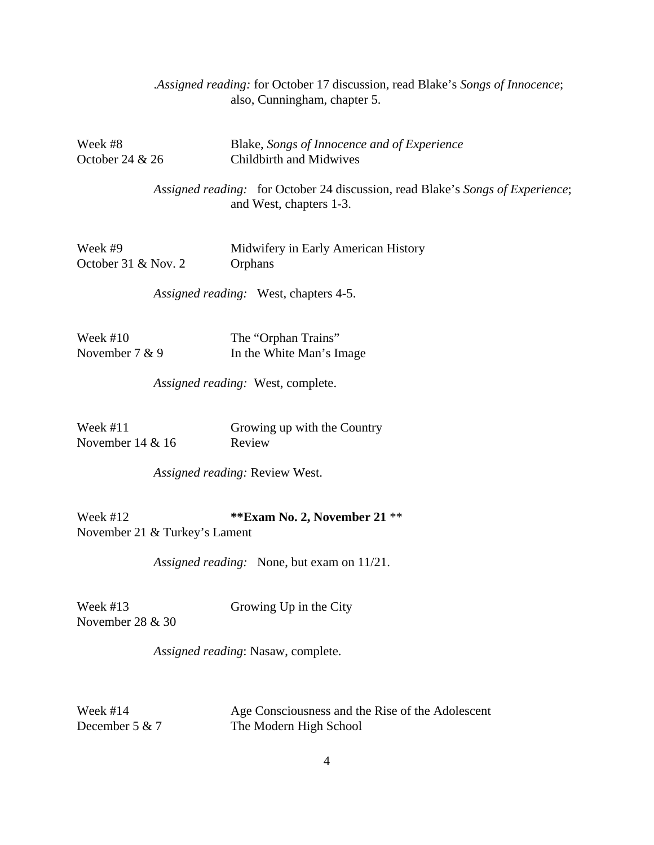|                                |                                | Assigned reading: for October 17 discussion, read Blake's Songs of Innocence;<br>also, Cunningham, chapter 5. |
|--------------------------------|--------------------------------|---------------------------------------------------------------------------------------------------------------|
| Week #8<br>October 24 & 26     |                                | Blake, Songs of Innocence and of Experience<br><b>Childbirth and Midwives</b>                                 |
|                                |                                | Assigned reading: for October 24 discussion, read Blake's Songs of Experience;<br>and West, chapters 1-3.     |
| Week #9<br>October 31 & Nov. 2 |                                | Midwifery in Early American History<br>Orphans                                                                |
|                                |                                | Assigned reading: West, chapters 4-5.                                                                         |
| Week #10<br>November 7 & 9     |                                | The "Orphan Trains"<br>In the White Man's Image                                                               |
|                                |                                | Assigned reading: West, complete.                                                                             |
| Week #11<br>November $14 & 16$ |                                | Growing up with the Country<br>Review                                                                         |
|                                | Assigned reading: Review West. |                                                                                                               |
| Week #12                       | November 21 & Turkey's Lament  | ** Exam No. 2, November 21 **                                                                                 |
|                                |                                | Assigned reading: None, but exam on 11/21.                                                                    |

November 28 & 30

Week #13 Growing Up in the City

*Assigned reading*: Nasaw, complete.

Week #14 Age Consciousness and the Rise of the Adolescent December 5 & 7 The Modern High School